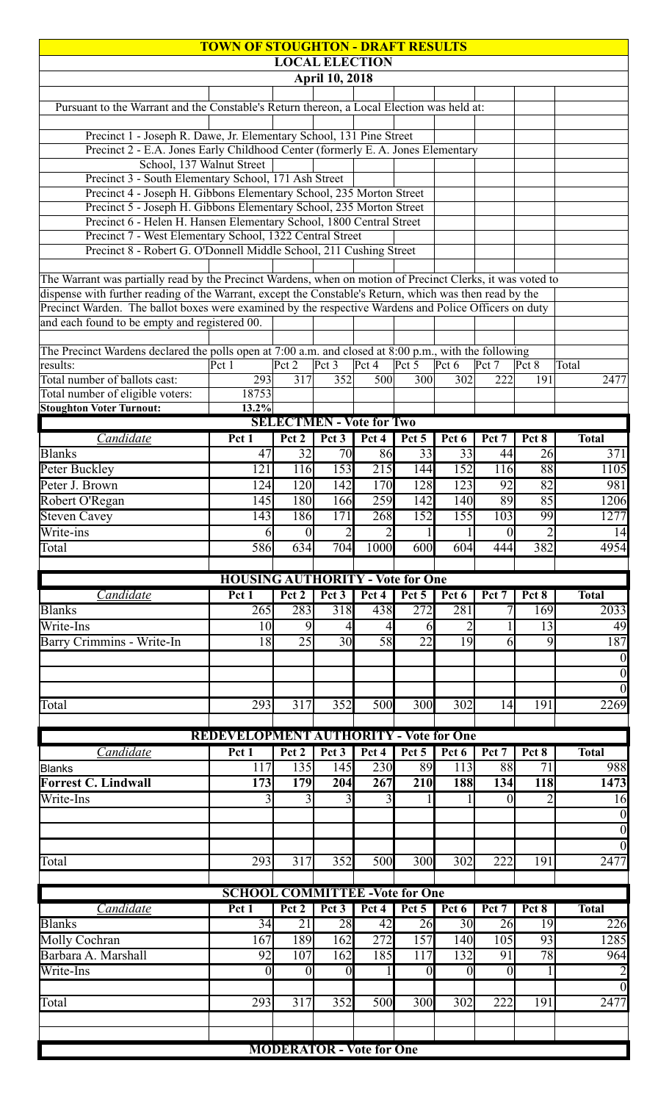|                                                                                                                                | <b>TOWN OF STOUGHTON - DRAFT RESULTS</b>      |                  |                       |                                 |                  |                  |                  |                 |                                                                                                                                                            |
|--------------------------------------------------------------------------------------------------------------------------------|-----------------------------------------------|------------------|-----------------------|---------------------------------|------------------|------------------|------------------|-----------------|------------------------------------------------------------------------------------------------------------------------------------------------------------|
|                                                                                                                                |                                               |                  |                       | <b>LOCAL ELECTION</b>           |                  |                  |                  |                 |                                                                                                                                                            |
|                                                                                                                                |                                               |                  | <b>April 10, 2018</b> |                                 |                  |                  |                  |                 |                                                                                                                                                            |
| Pursuant to the Warrant and the Constable's Return thereon, a Local Election was held at:                                      |                                               |                  |                       |                                 |                  |                  |                  |                 |                                                                                                                                                            |
|                                                                                                                                |                                               |                  |                       |                                 |                  |                  |                  |                 |                                                                                                                                                            |
| Precinct 1 - Joseph R. Dawe, Jr. Elementary School, 131 Pine Street                                                            |                                               |                  |                       |                                 |                  |                  |                  |                 |                                                                                                                                                            |
| Precinct 2 - E.A. Jones Early Childhood Center (formerly E.A. Jones Elementary<br>School, 137 Walnut Street                    |                                               |                  |                       |                                 |                  |                  |                  |                 |                                                                                                                                                            |
| Precinct 3 - South Elementary School, 171 Ash Street                                                                           |                                               |                  |                       |                                 |                  |                  |                  |                 |                                                                                                                                                            |
| Precinct 4 - Joseph H. Gibbons Elementary School, 235 Morton Street                                                            |                                               |                  |                       |                                 |                  |                  |                  |                 |                                                                                                                                                            |
| Precinct 5 - Joseph H. Gibbons Elementary School, 235 Morton Street                                                            |                                               |                  |                       |                                 |                  |                  |                  |                 |                                                                                                                                                            |
| Precinct 6 - Helen H. Hansen Elementary School, 1800 Central Street                                                            |                                               |                  |                       |                                 |                  |                  |                  |                 |                                                                                                                                                            |
| Precinct 7 - West Elementary School, 1322 Central Street<br>Precinct 8 - Robert G. O'Donnell Middle School, 211 Cushing Street |                                               |                  |                       |                                 |                  |                  |                  |                 |                                                                                                                                                            |
|                                                                                                                                |                                               |                  |                       |                                 |                  |                  |                  |                 |                                                                                                                                                            |
| The Warrant was partially read by the Precinct Wardens, when on motion of Precinct Clerks, it was voted to                     |                                               |                  |                       |                                 |                  |                  |                  |                 |                                                                                                                                                            |
| dispense with further reading of the Warrant, except the Constable's Return, which was then read by the                        |                                               |                  |                       |                                 |                  |                  |                  |                 |                                                                                                                                                            |
| Precinct Warden. The ballot boxes were examined by the respective Wardens and Police Officers on duty                          |                                               |                  |                       |                                 |                  |                  |                  |                 |                                                                                                                                                            |
| and each found to be empty and registered 00.                                                                                  |                                               |                  |                       |                                 |                  |                  |                  |                 |                                                                                                                                                            |
| The Precinct Wardens declared the polls open at 7:00 a.m. and closed at 8:00 p.m., with the following                          |                                               |                  |                       |                                 |                  |                  |                  |                 |                                                                                                                                                            |
| results:                                                                                                                       | Pct1                                          | Pct 2            | Pct 3                 | $\overline{\text{Pct}}$ 4       | Pct $5$          | Pct 6            | Pct 7            | Pct 8           | Total                                                                                                                                                      |
| Total number of ballots cast:                                                                                                  | 293                                           | 317              | 352                   | 500                             | 300              | 302              | 222              | 191             | 2477                                                                                                                                                       |
| Total number of eligible voters:                                                                                               | 18753                                         |                  |                       |                                 |                  |                  |                  |                 |                                                                                                                                                            |
| <b>Stoughton Voter Turnout:</b>                                                                                                | 13.2%                                         |                  |                       |                                 |                  |                  |                  |                 |                                                                                                                                                            |
|                                                                                                                                |                                               |                  |                       | <b>SELECTMEN - Vote for Two</b> |                  |                  |                  |                 |                                                                                                                                                            |
| Candidate                                                                                                                      | Pct1                                          | Pct 2            | Pct 3                 | Pct 4                           | Pct 5            | Pct 6            | Pct 7            | Pct 8           | <b>Total</b>                                                                                                                                               |
| <b>Blanks</b>                                                                                                                  | 47<br>121                                     | 32<br><b>116</b> | 70<br>153             | 86<br>$\overline{215}$          | 33               | 33<br>152        | 44               | 26<br>88        | 371                                                                                                                                                        |
| Peter Buckley<br>Peter J. Brown                                                                                                | 124                                           | 120              | 142                   | 170                             | 144<br>128       | 123              | 116<br>92        | 82              | 1105<br>981                                                                                                                                                |
|                                                                                                                                | 145                                           | 180              | 166                   | 259                             | 142              | 140              | 89               | 85              | 1206                                                                                                                                                       |
| Robert O'Regan<br><b>Steven Cavey</b>                                                                                          | 143                                           | 186              | $\overline{171}$      | 268                             | $\overline{152}$ | 155              | 103              | 99              | 1277                                                                                                                                                       |
| Write-ins                                                                                                                      | 6                                             | $\overline{0}$   | $\overline{2}$        | $\overline{2}$                  |                  | $\mathbf{1}$     | $\overline{0}$   | $\overline{2}$  | 14                                                                                                                                                         |
| Total                                                                                                                          | 586                                           | 634              | 704                   | 1000                            | 600              | 604              | 444              | 382             | 4954                                                                                                                                                       |
|                                                                                                                                |                                               |                  |                       |                                 |                  |                  |                  |                 |                                                                                                                                                            |
|                                                                                                                                | <b>HOUSING AUTHORITY - Vote for One</b>       |                  |                       |                                 |                  |                  |                  |                 |                                                                                                                                                            |
| Candidate                                                                                                                      | Pct 1                                         | Pct 2            | Pct 3                 | Pct 4                           | Pct 5            | Pct 6            | Pct 7            | Pct 8           | <b>Total</b>                                                                                                                                               |
| <b>Blanks</b>                                                                                                                  | 265                                           | 283              | 318                   | $43\overline{8}$                | 272              | 281              |                  | 169             | 2033                                                                                                                                                       |
| Write-Ins                                                                                                                      | 10                                            | 9                | 4                     | 4                               | 6                |                  |                  | 13              | 49                                                                                                                                                         |
| <b>Barry Crimmins - Write-In</b>                                                                                               | 18                                            | $\overline{25}$  | $\overline{30}$       | 58                              | $\overline{22}$  | $\overline{19}$  | 6                | 9               | 187                                                                                                                                                        |
|                                                                                                                                |                                               |                  |                       |                                 |                  |                  |                  |                 | $\boldsymbol{0}$                                                                                                                                           |
|                                                                                                                                |                                               |                  |                       |                                 |                  |                  |                  |                 |                                                                                                                                                            |
|                                                                                                                                |                                               |                  |                       |                                 |                  |                  |                  |                 |                                                                                                                                                            |
|                                                                                                                                |                                               |                  |                       |                                 |                  |                  |                  |                 |                                                                                                                                                            |
| Total                                                                                                                          | 293                                           | 317              | 352                   | 500                             | 300              | 302              | 14               | 191             |                                                                                                                                                            |
|                                                                                                                                |                                               |                  |                       |                                 |                  |                  |                  |                 |                                                                                                                                                            |
|                                                                                                                                | <b>REDEVELOPMENT AUTHORITY - Vote for One</b> |                  |                       |                                 |                  |                  |                  |                 |                                                                                                                                                            |
| Candidate                                                                                                                      | Pct 1                                         | Pct 2            | Pct 3                 | Pct 4                           | Pct 5            | Pct 6            | Pct 7            | Pct 8           | <b>Total</b>                                                                                                                                               |
| Blanks                                                                                                                         | $\overline{117}$                              | 135              | $\overline{145}$      | 230                             | 89               | $\overline{113}$ | 88               | $\overline{71}$ |                                                                                                                                                            |
| <b>Forrest C. Lindwall</b>                                                                                                     | 173                                           | 179              | 204                   | 267                             | 210              | 188              | 134              | 118             |                                                                                                                                                            |
| Write-Ins                                                                                                                      | 3                                             | $\overline{3}$   | 3                     | 3                               |                  |                  | $\Omega$         | $\overline{2}$  |                                                                                                                                                            |
|                                                                                                                                |                                               |                  |                       |                                 |                  |                  |                  |                 |                                                                                                                                                            |
|                                                                                                                                |                                               |                  |                       |                                 |                  |                  |                  |                 |                                                                                                                                                            |
| Total                                                                                                                          | 293                                           | 317              | 352                   | 500                             | 300              | 302              | 222              | 191             |                                                                                                                                                            |
|                                                                                                                                |                                               |                  |                       |                                 |                  |                  |                  |                 |                                                                                                                                                            |
|                                                                                                                                | <b>SCHOOL COMMITTEE -Vote for One</b>         |                  |                       |                                 |                  |                  |                  |                 |                                                                                                                                                            |
| Candidate                                                                                                                      | Pct 1                                         | Pct 2            | Pct 3                 | Pct 4                           | Pct 5            | Pct 6            | Pct 7            | Pct 8           | $\overline{0}$<br>$\overline{0}$<br>$\overline{2269}$<br>988<br>1473<br>16<br>$\boldsymbol{0}$<br>$\overline{0}$<br>$\overline{0}$<br>2477<br><b>Total</b> |
| <b>Blanks</b>                                                                                                                  | 34                                            | 21               | 28                    | 42                              | 26               | 30 <sup>l</sup>  | 26               | 19              |                                                                                                                                                            |
| <b>Molly Cochran</b>                                                                                                           | 167                                           | 189              | 162                   | $\overline{272}$                | 157              | 140              | $\overline{105}$ | 93              |                                                                                                                                                            |
| Barbara A. Marshall                                                                                                            | 92                                            | 107              | 162                   | 185                             | 117              | 132              | 91               | $\overline{78}$ |                                                                                                                                                            |
| Write-Ins                                                                                                                      | $\boldsymbol{0}$                              | $\overline{0}$   | $\boldsymbol{0}$      |                                 | $\theta$         | $\overline{0}$   | $\overline{0}$   |                 |                                                                                                                                                            |
|                                                                                                                                |                                               |                  |                       |                                 |                  |                  |                  |                 | 226<br>1285<br>964<br>$\overline{2}$<br>$\overline{0}$                                                                                                     |
| Total                                                                                                                          | 293                                           | 317              | 352                   | 500                             | 300              | 302              | 222              | 191             | 2477                                                                                                                                                       |
|                                                                                                                                |                                               |                  |                       |                                 |                  |                  |                  |                 |                                                                                                                                                            |
|                                                                                                                                |                                               |                  |                       | <b>MODERATOR - Vote for One</b> |                  |                  |                  |                 |                                                                                                                                                            |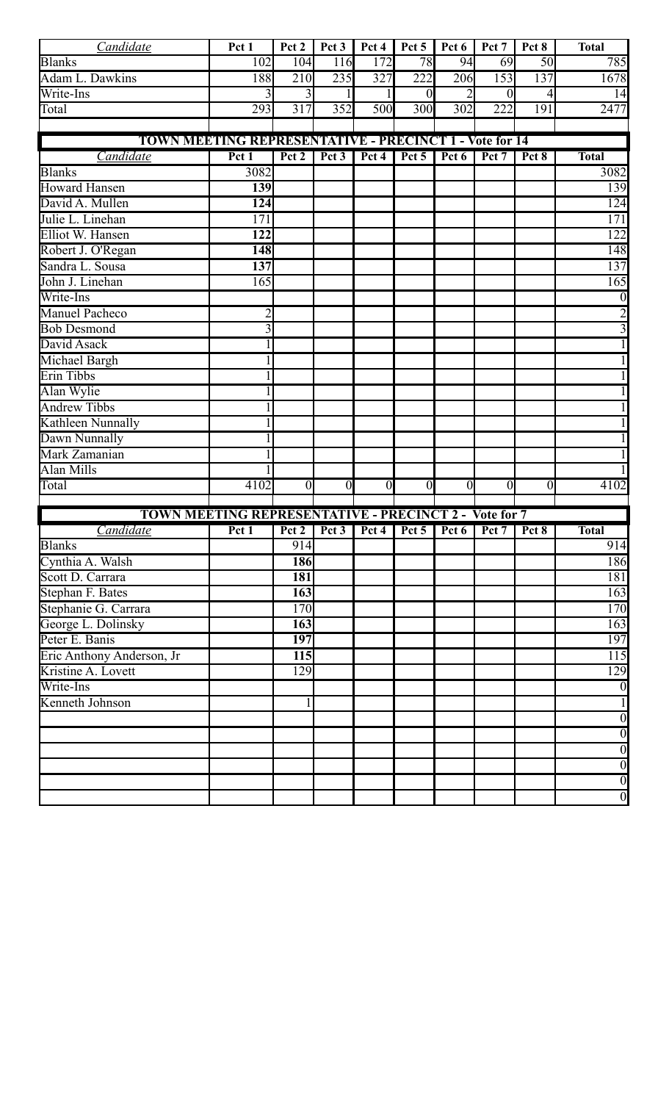| Candidate                                                     | Pct 1                                                         | Pct 2            | Pct 3                     | Pct 4          | Pct 5            | Pct 6            | Pct 7            | Pct 8          | <b>Total</b>     |  |  |
|---------------------------------------------------------------|---------------------------------------------------------------|------------------|---------------------------|----------------|------------------|------------------|------------------|----------------|------------------|--|--|
| <b>Blanks</b>                                                 | 102                                                           | 104              | 116                       | 172            | 78               | 94               | 69               | 50             | 785              |  |  |
| Adam L. Dawkins                                               | 188                                                           | 210              | 235                       | 327            | 222              | 206              | 153              | 137            | 1678             |  |  |
| Write-Ins                                                     |                                                               | 3                |                           |                | $\theta$         | $\overline{2}$   | $\theta$         | 4              | 14               |  |  |
| Total                                                         | 293                                                           | $\overline{317}$ | 352                       | 500            | $\overline{300}$ | $\overline{302}$ | $\overline{222}$ | 191            | 2477             |  |  |
|                                                               |                                                               |                  |                           |                |                  |                  |                  |                |                  |  |  |
| <b>TOWN MEETING REPRESENTATIVE - PRECINCT 1 - Vote for 14</b> |                                                               |                  |                           |                |                  |                  |                  |                |                  |  |  |
| Candidate                                                     | Pct 1                                                         | Pct 2            | $\overline{\text{Pet}}$ 3 | Pct 4          | $Pct$ 5          | Pct 6            | Pct 7            | Pct 8          | <b>Total</b>     |  |  |
| <b>Blanks</b>                                                 | 3082                                                          |                  |                           |                |                  |                  |                  |                | 3082             |  |  |
| <b>Howard Hansen</b>                                          | 139                                                           |                  |                           |                |                  |                  |                  |                | 139              |  |  |
| David A. Mullen                                               | 124                                                           |                  |                           |                |                  |                  |                  |                | 124              |  |  |
| Julie L. Linehan                                              | $\overline{171}$                                              |                  |                           |                |                  |                  |                  |                | $\overline{171}$ |  |  |
| Elliot W. Hansen                                              | 122                                                           |                  |                           |                |                  |                  |                  |                | 122              |  |  |
| Robert J. O'Regan                                             | 148                                                           |                  |                           |                |                  |                  |                  |                | 148              |  |  |
| Sandra L. Sousa                                               | 137                                                           |                  |                           |                |                  |                  |                  |                | 137              |  |  |
| John J. Linehan                                               | 165                                                           |                  |                           |                |                  |                  |                  |                | 165              |  |  |
| Write-Ins                                                     |                                                               |                  |                           |                |                  |                  |                  |                |                  |  |  |
| <b>Manuel Pacheco</b>                                         |                                                               |                  |                           |                |                  |                  |                  |                |                  |  |  |
| <b>Bob Desmond</b>                                            | 3                                                             |                  |                           |                |                  |                  |                  |                |                  |  |  |
| David Asack                                                   |                                                               |                  |                           |                |                  |                  |                  |                |                  |  |  |
| Michael Bargh                                                 |                                                               |                  |                           |                |                  |                  |                  |                |                  |  |  |
| Erin Tibbs                                                    |                                                               |                  |                           |                |                  |                  |                  |                |                  |  |  |
| Alan Wylie                                                    |                                                               |                  |                           |                |                  |                  |                  |                |                  |  |  |
| <b>Andrew Tibbs</b>                                           |                                                               |                  |                           |                |                  |                  |                  |                |                  |  |  |
| Kathleen Nunnally                                             |                                                               |                  |                           |                |                  |                  |                  |                |                  |  |  |
| Dawn Nunnally                                                 |                                                               |                  |                           |                |                  |                  |                  |                |                  |  |  |
| Mark Zamanian                                                 |                                                               |                  |                           |                |                  |                  |                  |                |                  |  |  |
| <b>Alan Mills</b>                                             |                                                               |                  |                           |                |                  |                  |                  |                |                  |  |  |
| Total                                                         | 4102                                                          | $\theta$         | $\overline{0}$            | $\overline{0}$ | $\overline{0}$   | $\overline{0}$   | $\theta$         | $\overline{0}$ | 4102             |  |  |
| <b>TOWN MEETING REPRESENTATIVE - PRECINCT 2 - Vote for 7</b>  |                                                               |                  |                           |                |                  |                  |                  |                |                  |  |  |
| Candidate                                                     | Pct 1   Pct 2   Pct 3   Pct 4   Pct 5   Pct 6   Pct 7   Pct 8 |                  |                           |                |                  |                  |                  |                | <b>Total</b>     |  |  |
| <b>Blanks</b>                                                 |                                                               | 914              |                           |                |                  |                  |                  |                | 914              |  |  |
| Cynthia A. Walsh                                              |                                                               | 186              |                           |                |                  |                  |                  |                | 186              |  |  |
| Scott D. Carrara                                              |                                                               | 181              |                           |                |                  |                  |                  |                | 181              |  |  |
| Stephan F. Bates                                              |                                                               | 163              |                           |                |                  |                  |                  |                | 163              |  |  |
| Stephanie G. Carrara                                          |                                                               | 170              |                           |                |                  |                  |                  |                | 170              |  |  |
| George L. Dolinsky                                            |                                                               | 163              |                           |                |                  |                  |                  |                | 163              |  |  |
| Peter E. Banis                                                |                                                               | 197              |                           |                |                  |                  |                  |                | 197              |  |  |
| Eric Anthony Anderson, Jr                                     |                                                               | 115              |                           |                |                  |                  |                  |                | 115              |  |  |
| Kristine A. Lovett                                            |                                                               | 129              |                           |                |                  |                  |                  |                | 129              |  |  |
| Write-Ins                                                     |                                                               |                  |                           |                |                  |                  |                  |                |                  |  |  |
| Kenneth Johnson                                               |                                                               |                  |                           |                |                  |                  |                  |                |                  |  |  |
|                                                               |                                                               |                  |                           |                |                  |                  |                  |                | $\overline{0}$   |  |  |
|                                                               |                                                               |                  |                           |                |                  |                  |                  |                | $\overline{0}$   |  |  |
|                                                               |                                                               |                  |                           |                |                  |                  |                  |                | $\overline{0}$   |  |  |
|                                                               |                                                               |                  |                           |                |                  |                  |                  |                | $\overline{0}$   |  |  |
|                                                               |                                                               |                  |                           |                |                  |                  |                  |                | $\overline{0}$   |  |  |
|                                                               |                                                               |                  |                           |                |                  |                  |                  |                | $\overline{0}$   |  |  |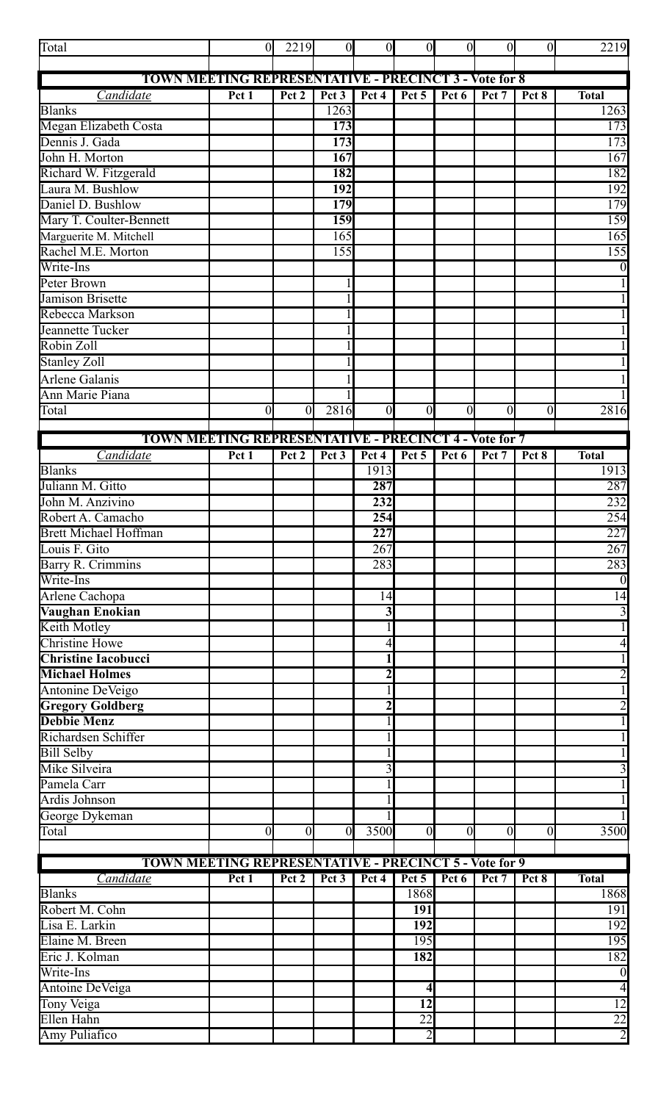| Total                                                        | $\theta$       | 2219             | $\overline{0}$   | $\overline{0}$   | $\overline{0}$   | $\overline{0}$ | $\overline{0}$ | $\overline{0}$ | 2219                    |
|--------------------------------------------------------------|----------------|------------------|------------------|------------------|------------------|----------------|----------------|----------------|-------------------------|
|                                                              |                |                  |                  |                  |                  |                |                |                |                         |
| <b>TOWN MEETING REPRESENTATIVE - PRECINCT 3 - Vote for 8</b> |                |                  |                  |                  |                  |                |                |                |                         |
| Candidate                                                    | Pct1           | Pct 2            | Pct 3            | Pct 4            | Pct 5            | Pct 6          | Pct 7          | Pct 8          | <b>Total</b>            |
| <b>Blanks</b>                                                |                |                  | 1263             |                  |                  |                |                |                | 1263                    |
| Megan Elizabeth Costa                                        |                |                  | 173              |                  |                  |                |                |                | $\overline{173}$        |
| Dennis J. Gada                                               |                |                  | 173              |                  |                  |                |                |                | 173                     |
| John H. Morton                                               |                |                  | 167              |                  |                  |                |                |                | 167                     |
| Richard W. Fitzgerald                                        |                |                  | 182              |                  |                  |                |                |                | 182                     |
| Laura M. Bushlow                                             |                |                  | 192              |                  |                  |                |                |                | 192                     |
| Daniel D. Bushlow                                            |                |                  | 179              |                  |                  |                |                |                | 179                     |
| Mary T. Coulter-Bennett                                      |                |                  | 159              |                  |                  |                |                |                | 159                     |
| Marguerite M. Mitchell                                       |                |                  | 165              |                  |                  |                |                |                | 165                     |
| Rachel M.E. Morton                                           |                |                  | 155              |                  |                  |                |                |                | 155                     |
| Write-Ins                                                    |                |                  |                  |                  |                  |                |                |                | $\boldsymbol{0}$        |
| Peter Brown                                                  |                |                  |                  |                  |                  |                |                |                | $\overline{1}$          |
| <b>Jamison Brisette</b>                                      |                |                  |                  |                  |                  |                |                |                | $\mathbf{1}$            |
| Rebecca Markson                                              |                |                  |                  |                  |                  |                |                |                | $\mathbf{1}$            |
| Jeannette Tucker                                             |                |                  |                  |                  |                  |                |                |                | $\mathbf{1}$            |
| Robin Zoll                                                   |                |                  |                  |                  |                  |                |                |                | $\mathbf{1}$            |
| Stanley Zoll                                                 |                |                  |                  |                  |                  |                |                |                | $\mathbf{1}$            |
| <b>Arlene Galanis</b>                                        |                |                  |                  |                  |                  |                |                |                |                         |
| Ann Marie Piana                                              |                |                  |                  |                  |                  |                |                |                | $\mathbf{1}$            |
| Total                                                        | $\overline{0}$ | $\overline{0}$   | 2816             | $\boldsymbol{0}$ | $\boldsymbol{0}$ | $\overline{0}$ | $\overline{0}$ | $\overline{0}$ | 2816                    |
|                                                              |                |                  |                  |                  |                  |                |                |                |                         |
| <b>TOWN MEETING REPRESENTATIVE - PRECINCT 4 - Vote for 7</b> |                |                  |                  |                  |                  |                |                |                |                         |
| Candidate                                                    | Pct 1          | Pct <sub>2</sub> | Pct <sub>3</sub> | Pct 4            | Pct 5            | Pct 6          | Pct 7          | Pct 8          | <b>Total</b>            |
| <b>Blanks</b>                                                |                |                  |                  | 1913             |                  |                |                |                | 1913                    |
| Juliann M. Gitto                                             |                |                  |                  | 287              |                  |                |                |                | 287                     |
| John M. Anzivino                                             |                |                  |                  | 232              |                  |                |                |                | 232                     |
| Robert A. Camacho                                            |                |                  |                  | 254              |                  |                |                |                | 254                     |
| <b>Brett Michael Hoffman</b>                                 |                |                  |                  | $\overline{227}$ |                  |                |                |                | 227                     |
| Louis F. Gito                                                |                |                  |                  | 267              |                  |                |                |                | 267                     |
| Barry R. Crimmins                                            |                |                  |                  | 283              |                  |                |                |                | 283                     |
| Write-Ins                                                    |                |                  |                  |                  |                  |                |                |                | $\boldsymbol{0}$        |
| Arlene Cachopa                                               |                |                  |                  | 14               |                  |                |                |                | 14                      |
| Vaughan Enokian                                              |                |                  |                  | 3                |                  |                |                |                | $\overline{\mathbf{3}}$ |
| Keith Motley                                                 |                |                  |                  |                  |                  |                |                |                | $\overline{1}$          |
| <b>Christine Howe</b>                                        |                |                  |                  | 4                |                  |                |                |                | $\overline{4}$          |
| <b>Christine Iacobucci</b>                                   |                |                  |                  | 1                |                  |                |                |                | $\mathbf{1}$            |
| <b>Michael Holmes</b>                                        |                |                  |                  | $\overline{2}$   |                  |                |                |                |                         |
| Antonine DeVeigo                                             |                |                  |                  | 1                |                  |                |                |                | $\frac{2}{1}$           |
| <b>Gregory Goldberg</b>                                      |                |                  |                  | $\overline{2}$   |                  |                |                |                | $\overline{2}$          |
| <b>Debbie Menz</b>                                           |                |                  |                  |                  |                  |                |                |                | $\overline{1}$          |
| Richardsen Schiffer                                          |                |                  |                  |                  |                  |                |                |                | $\mathbf{1}$            |
| <b>Bill Selby</b>                                            |                |                  |                  |                  |                  |                |                |                |                         |
| Mike Silveira                                                |                |                  |                  | 3                |                  |                |                |                | $\overline{3}$          |
| Pamela Carr                                                  |                |                  |                  |                  |                  |                |                |                |                         |
| Ardis Johnson                                                |                |                  |                  |                  |                  |                |                |                |                         |
| George Dykeman                                               |                |                  |                  |                  |                  |                |                |                |                         |
| Total                                                        | $\overline{0}$ | $\overline{0}$   | $\Omega$         | 3500             | $\theta$         | 0              | $\overline{0}$ | $\overline{0}$ | 3500                    |
|                                                              |                |                  |                  |                  |                  |                |                |                |                         |
| <b>TOWN MEETING REPRESENTATIVE - PRECINCT 5 - Vote for 9</b> |                |                  |                  |                  |                  |                |                |                |                         |
| Candidate                                                    | Pct 1          | Pct 2            | Pct 3            | Pct 4            | Pct 5            | Pct 6          | Pct 7          | Pct 8          | <b>Total</b>            |
| <b>Blanks</b>                                                |                |                  |                  |                  | 1868             |                |                |                | 1868                    |
| Robert M. Cohn                                               |                |                  |                  |                  | 191              |                |                |                | 191                     |
| Lisa E. Larkin                                               |                |                  |                  |                  | 192              |                |                |                | 192                     |
| Elaine M. Breen                                              |                |                  |                  |                  | 195              |                |                |                | 195                     |
| Eric J. Kolman                                               |                |                  |                  |                  | 182              |                |                |                | 182                     |
| Write-Ins                                                    |                |                  |                  |                  |                  |                |                |                | $\overline{0}$          |
| Antoine DeVeiga                                              |                |                  |                  |                  | 4                |                |                |                | $\overline{4}$          |
| Tony Veiga                                                   |                |                  |                  |                  | 12               |                |                |                | $\overline{12}$         |
| Ellen Hahn                                                   |                |                  |                  |                  | $\overline{22}$  |                |                |                | $\overline{22}$         |
| Amy Puliafico                                                |                |                  |                  |                  | $\overline{2}$   |                |                |                | $\overline{2}$          |
|                                                              |                |                  |                  |                  |                  |                |                |                |                         |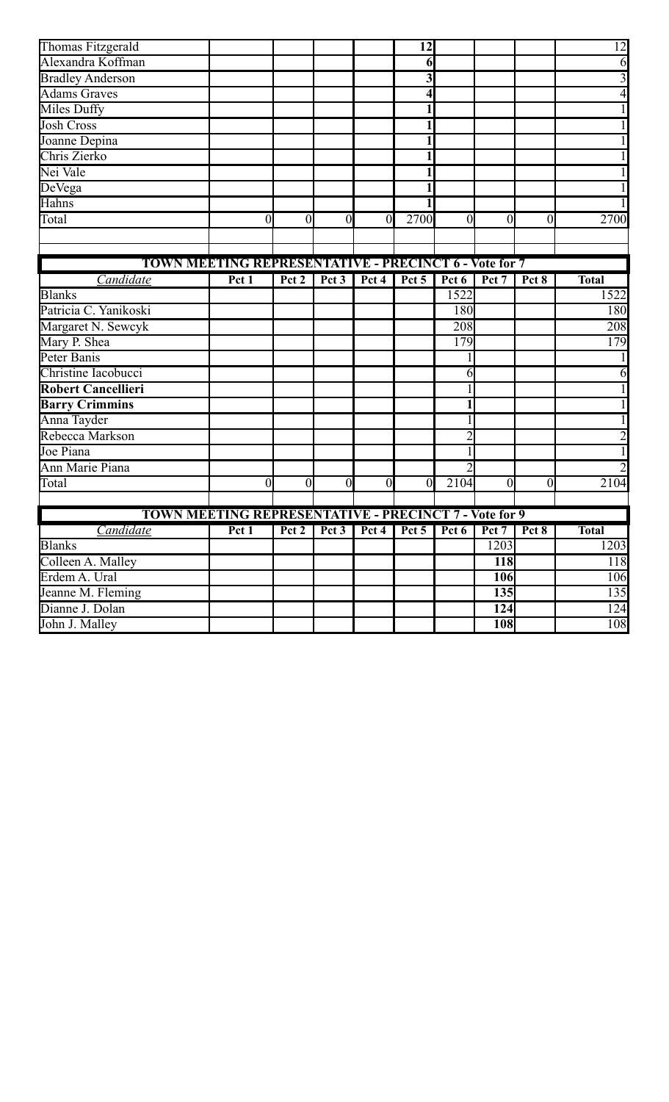| Thomas Fitzgerald                                            |       |                |                |                | 12       |                |                |                | 12           |
|--------------------------------------------------------------|-------|----------------|----------------|----------------|----------|----------------|----------------|----------------|--------------|
| Alexandra Koffman                                            |       |                |                |                | 6        |                |                |                | 6            |
| <b>Bradley Anderson</b>                                      |       |                |                |                | 3        |                |                |                | 3            |
| <b>Adams Graves</b>                                          |       |                |                |                |          |                |                |                |              |
| <b>Miles Duffy</b>                                           |       |                |                |                |          |                |                |                |              |
| <b>Josh Cross</b>                                            |       |                |                |                |          |                |                |                |              |
| Joanne Depina                                                |       |                |                |                |          |                |                |                |              |
| Chris Zierko                                                 |       |                |                |                |          |                |                |                |              |
| Nei Vale                                                     |       |                |                |                |          |                |                |                |              |
| DeVega                                                       |       |                |                |                |          |                |                |                |              |
| Hahns                                                        |       |                |                |                |          |                |                |                |              |
| Total                                                        | 0     | $\overline{0}$ | $\theta$       | $\overline{0}$ | 2700     | $\theta$       | 0              | $\overline{0}$ | 2700         |
|                                                              |       |                |                |                |          |                |                |                |              |
|                                                              |       |                |                |                |          |                |                |                |              |
| <b>TOWN MEETING REPRESENTATIVE - PRECINCT 6 - Vote for 7</b> |       |                |                |                |          |                |                |                |              |
| Candidate                                                    | Pct 1 | Pct 2          | Pct $3$        | Pct 4          | Pct 5    | Pct 6          | Pct 7          | Pct 8          | <b>Total</b> |
| <b>Blanks</b>                                                |       |                |                |                |          | 1522           |                |                | 1522         |
| Patricia C. Yanikoski                                        |       |                |                |                |          | 180            |                |                | 180          |
| Margaret N. Sewcyk                                           |       |                |                |                |          | 208            |                |                | 208          |
| Mary P. Shea                                                 |       |                |                |                |          | 179            |                |                | 179          |
| Peter Banis                                                  |       |                |                |                |          |                |                |                |              |
| Christine Iacobucci                                          |       |                |                |                |          | 6              |                |                |              |
| <b>Robert Cancellieri</b>                                    |       |                |                |                |          |                |                |                |              |
| <b>Barry Crimmins</b>                                        |       |                |                |                |          |                |                |                |              |
| Anna Tayder                                                  |       |                |                |                |          |                |                |                |              |
| Rebecca Markson                                              |       |                |                |                |          |                |                |                |              |
| Joe Piana                                                    |       |                |                |                |          |                |                |                |              |
| <b>Ann Marie Piana</b>                                       |       |                |                |                |          | $\overline{2}$ |                |                |              |
| Total                                                        | 0     | $\overline{0}$ | $\overline{0}$ | $\overline{0}$ | $\theta$ | 2104           | $\overline{0}$ | $\overline{0}$ | 2104         |
|                                                              |       |                |                |                |          |                |                |                |              |
| <b>TOWN MEETING REPRESENTATIVE - PRECINCT 7 - Vote for 9</b> |       |                |                |                |          |                |                |                |              |
| Candidate                                                    | Pct 1 | Pct 2          | Pct 3          | Pct 4          | Pct 5    | Pct 6          | Pct 7          | Pct 8          | <b>Total</b> |
| <b>Blanks</b>                                                |       |                |                |                |          |                | 1203           |                | 1203         |
| Colleen A. Malley                                            |       |                |                |                |          |                | <b>118</b>     |                | 118          |
| Erdem A. Ural                                                |       |                |                |                |          |                | 106            |                | 106          |
| Jeanne M. Fleming                                            |       |                |                |                |          |                | <b>135</b>     |                | 135          |
| Dianne J. Dolan                                              |       |                |                |                |          |                | 124            |                | 124          |
| John J. Malley                                               |       |                |                |                |          |                | 108            |                | 108          |